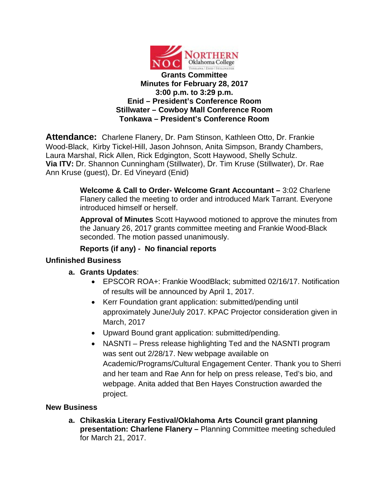

**Attendance:** Charlene Flanery, Dr. Pam Stinson, Kathleen Otto, Dr. Frankie Wood-Black, Kirby Tickel-Hill, Jason Johnson, Anita Simpson, Brandy Chambers, Laura Marshal, Rick Allen, Rick Edgington, Scott Haywood, Shelly Schulz. **Via ITV:** Dr. Shannon Cunningham (Stillwater), Dr. Tim Kruse (Stillwater), Dr. Rae Ann Kruse (guest), Dr. Ed Vineyard (Enid)

> **Welcome & Call to Order- Welcome Grant Accountant –** 3:02 Charlene Flanery called the meeting to order and introduced Mark Tarrant. Everyone introduced himself or herself.

**Approval of Minutes** Scott Haywood motioned to approve the minutes from the January 26, 2017 grants committee meeting and Frankie Wood-Black seconded. The motion passed unanimously.

## **Reports (if any) - No financial reports**

## **Unfinished Business**

## **a. Grants Updates**:

- EPSCOR ROA+: Frankie WoodBlack; submitted 02/16/17. Notification of results will be announced by April 1, 2017.
- Kerr Foundation grant application: submitted/pending until approximately June/July 2017. KPAC Projector consideration given in March, 2017
- Upward Bound grant application: submitted/pending.
- NASNTI Press release highlighting Ted and the NASNTI program was sent out 2/28/17. New webpage available on Academic/Programs/Cultural Engagement Center. Thank you to Sherri and her team and Rae Ann for help on press release, Ted's bio, and webpage. Anita added that Ben Hayes Construction awarded the project.

## **New Business**

**a. Chikaskia Literary Festival/Oklahoma Arts Council grant planning presentation: Charlene Flanery –** Planning Committee meeting scheduled for March 21, 2017.